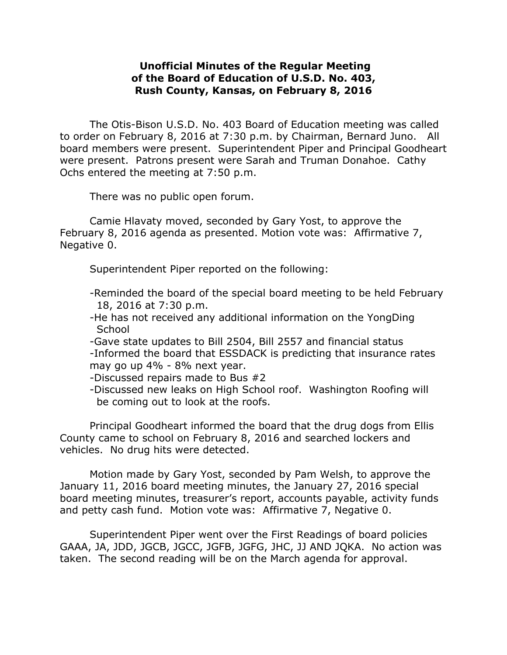## **Unofficial Minutes of the Regular Meeting of the Board of Education of U.S.D. No. 403, Rush County, Kansas, on February 8, 2016**

The Otis-Bison U.S.D. No. 403 Board of Education meeting was called to order on February 8, 2016 at 7:30 p.m. by Chairman, Bernard Juno. All board members were present. Superintendent Piper and Principal Goodheart were present. Patrons present were Sarah and Truman Donahoe. Cathy Ochs entered the meeting at 7:50 p.m.

There was no public open forum.

Camie Hlavaty moved, seconded by Gary Yost, to approve the February 8, 2016 agenda as presented. Motion vote was: Affirmative 7, Negative 0.

Superintendent Piper reported on the following:

- -Reminded the board of the special board meeting to be held February 18, 2016 at 7:30 p.m.
- -He has not received any additional information on the YongDing **School**
- -Gave state updates to Bill 2504, Bill 2557 and financial status -Informed the board that ESSDACK is predicting that insurance rates may go up 4% - 8% next year.
- -Discussed repairs made to Bus #2
- -Discussed new leaks on High School roof. Washington Roofing will be coming out to look at the roofs.

Principal Goodheart informed the board that the drug dogs from Ellis County came to school on February 8, 2016 and searched lockers and vehicles. No drug hits were detected.

Motion made by Gary Yost, seconded by Pam Welsh, to approve the January 11, 2016 board meeting minutes, the January 27, 2016 special board meeting minutes, treasurer's report, accounts payable, activity funds and petty cash fund. Motion vote was: Affirmative 7, Negative 0.

Superintendent Piper went over the First Readings of board policies GAAA, JA, JDD, JGCB, JGCC, JGFB, JGFG, JHC, JJ AND JQKA. No action was taken. The second reading will be on the March agenda for approval.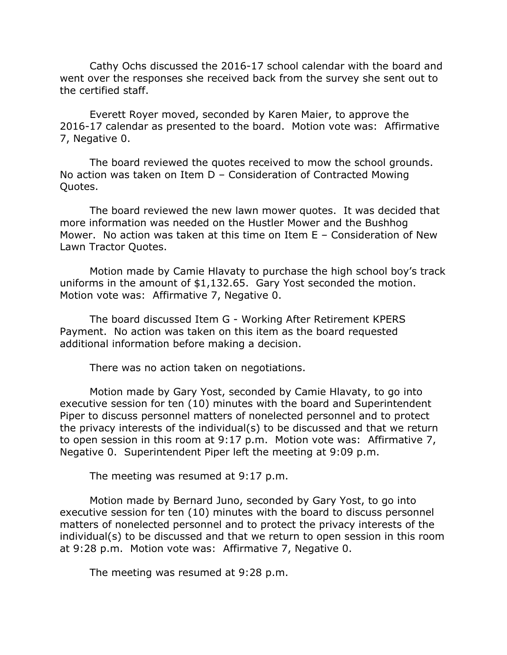Cathy Ochs discussed the 2016-17 school calendar with the board and went over the responses she received back from the survey she sent out to the certified staff.

Everett Royer moved, seconded by Karen Maier, to approve the 2016-17 calendar as presented to the board. Motion vote was: Affirmative 7, Negative 0.

The board reviewed the quotes received to mow the school grounds. No action was taken on Item D – Consideration of Contracted Mowing Quotes.

The board reviewed the new lawn mower quotes. It was decided that more information was needed on the Hustler Mower and the Bushhog Mower. No action was taken at this time on Item E – Consideration of New Lawn Tractor Quotes.

Motion made by Camie Hlavaty to purchase the high school boy's track uniforms in the amount of \$1,132.65. Gary Yost seconded the motion. Motion vote was: Affirmative 7, Negative 0.

The board discussed Item G - Working After Retirement KPERS Payment. No action was taken on this item as the board requested additional information before making a decision.

There was no action taken on negotiations.

Motion made by Gary Yost, seconded by Camie Hlavaty, to go into executive session for ten (10) minutes with the board and Superintendent Piper to discuss personnel matters of nonelected personnel and to protect the privacy interests of the individual(s) to be discussed and that we return to open session in this room at 9:17 p.m. Motion vote was: Affirmative 7, Negative 0. Superintendent Piper left the meeting at 9:09 p.m.

The meeting was resumed at 9:17 p.m.

Motion made by Bernard Juno, seconded by Gary Yost, to go into executive session for ten (10) minutes with the board to discuss personnel matters of nonelected personnel and to protect the privacy interests of the individual(s) to be discussed and that we return to open session in this room at 9:28 p.m. Motion vote was: Affirmative 7, Negative 0.

The meeting was resumed at 9:28 p.m.